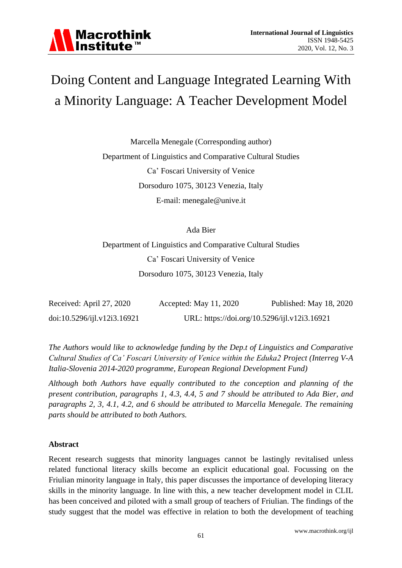

# Doing Content and Language Integrated Learning With a Minority Language: A Teacher Development Model

Marcella Menegale (Corresponding author) Department of Linguistics and Comparative Cultural Studies Ca" Foscari University of Venice Dorsoduro 1075, 30123 Venezia, Italy E-mail: menegale@unive.it

Ada Bier

Department of Linguistics and Comparative Cultural Studies Ca" Foscari University of Venice Dorsoduro 1075, 30123 Venezia, Italy

| Received: April 27, 2020    | Accepted: May 11, 2020 | Published: May 18, 2020                      |
|-----------------------------|------------------------|----------------------------------------------|
| doi:10.5296/ijl.v12i3.16921 |                        | URL: https://doi.org/10.5296/ijl.v12i3.16921 |

*The Authors would like to acknowledge funding by the Dep.t of Linguistics and Comparative Cultural Studies of Ca' Foscari University of Venice within the Eduka2 Project (Interreg V-A Italia-Slovenia 2014-2020 programme, European Regional Development Fund)*

*Although both Authors have equally contributed to the conception and planning of the present contribution, paragraphs 1, 4.3, 4.4, 5 and 7 should be attributed to Ada Bier, and paragraphs 2, 3, 4.1, 4.2, and 6 should be attributed to Marcella Menegale. The remaining parts should be attributed to both Authors.*

# **Abstract**

Recent research suggests that minority languages cannot be lastingly revitalised unless related functional literacy skills become an explicit educational goal. Focussing on the Friulian minority language in Italy, this paper discusses the importance of developing literacy skills in the minority language. In line with this, a new teacher development model in CLIL has been conceived and piloted with a small group of teachers of Friulian. The findings of the study suggest that the model was effective in relation to both the development of teaching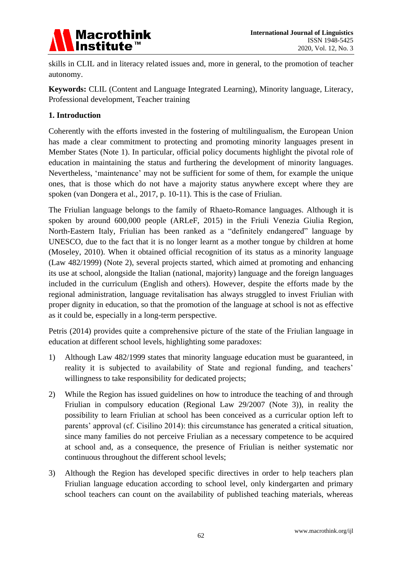

skills in CLIL and in literacy related issues and, more in general, to the promotion of teacher autonomy.

**Keywords:** CLIL (Content and Language Integrated Learning), Minority language, Literacy, Professional development, Teacher training

# **1. Introduction**

Coherently with the efforts invested in the fostering of multilingualism, the European Union has made a clear commitment to protecting and promoting minority languages present in Member States (Note 1). In particular, official policy documents highlight the pivotal role of education in maintaining the status and furthering the development of minority languages. Nevertheless, "maintenance" may not be sufficient for some of them, for example the unique ones, that is those which do not have a majority status anywhere except where they are spoken (van Dongera et al., 2017, p. 10-11). This is the case of Friulian.

The Friulian language belongs to the family of Rhaeto-Romance languages. Although it is spoken by around 600,000 people (ARLeF, 2015) in the Friuli Venezia Giulia Region, North-Eastern Italy, Friulian has been ranked as a "definitely endangered" language by UNESCO, due to the fact that it is no longer learnt as a mother tongue by children at home (Moseley, 2010). When it obtained official recognition of its status as a minority language (Law 482/1999) (Note 2), several projects started, which aimed at promoting and enhancing its use at school, alongside the Italian (national, majority) language and the foreign languages included in the curriculum (English and others). However, despite the efforts made by the regional administration, language revitalisation has always struggled to invest Friulian with proper dignity in education, so that the promotion of the language at school is not as effective as it could be, especially in a long-term perspective.

Petris (2014) provides quite a comprehensive picture of the state of the Friulian language in education at different school levels, highlighting some paradoxes:

- 1) Although Law 482/1999 states that minority language education must be guaranteed, in reality it is subjected to availability of State and regional funding, and teachers' willingness to take responsibility for dedicated projects;
- 2) While the Region has issued guidelines on how to introduce the teaching of and through Friulian in compulsory education (Regional Law 29/2007 (Note 3)), in reality the possibility to learn Friulian at school has been conceived as a curricular option left to parents" approval (cf. Cisilino 2014): this circumstance has generated a critical situation, since many families do not perceive Friulian as a necessary competence to be acquired at school and, as a consequence, the presence of Friulian is neither systematic nor continuous throughout the different school levels;
- 3) Although the Region has developed specific directives in order to help teachers plan Friulian language education according to school level, only kindergarten and primary school teachers can count on the availability of published teaching materials, whereas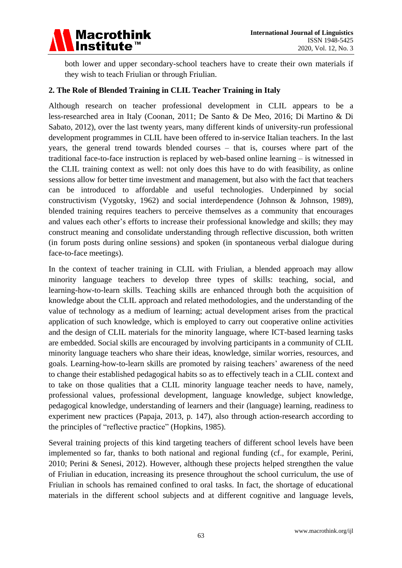

both lower and upper secondary-school teachers have to create their own materials if they wish to teach Friulian or through Friulian.

# **2. The Role of Blended Training in CLIL Teacher Training in Italy**

Although research on teacher professional development in CLIL appears to be a less-researched area in Italy (Coonan, 2011; De Santo & De Meo, 2016; Di Martino & Di Sabato, 2012), over the last twenty years, many different kinds of university-run professional development programmes in CLIL have been offered to in-service Italian teachers. In the last years, the general trend towards blended courses – that is, courses where part of the traditional face-to-face instruction is replaced by web-based online learning – is witnessed in the CLIL training context as well: not only does this have to do with feasibility, as online sessions allow for better time investment and management, but also with the fact that teachers can be introduced to affordable and useful technologies. Underpinned by social constructivism (Vygotsky, 1962) and social interdependence (Johnson & Johnson, 1989), blended training requires teachers to perceive themselves as a community that encourages and values each other"s efforts to increase their professional knowledge and skills; they may construct meaning and consolidate understanding through reflective discussion, both written (in forum posts during online sessions) and spoken (in spontaneous verbal dialogue during face-to-face meetings).

In the context of teacher training in CLIL with Friulian, a blended approach may allow minority language teachers to develop three types of skills: teaching, social, and learning-how-to-learn skills. Teaching skills are enhanced through both the acquisition of knowledge about the CLIL approach and related methodologies, and the understanding of the value of technology as a medium of learning; actual development arises from the practical application of such knowledge, which is employed to carry out cooperative online activities and the design of CLIL materials for the minority language, where ICT-based learning tasks are embedded. Social skills are encouraged by involving participants in a community of CLIL minority language teachers who share their ideas, knowledge, similar worries, resources, and goals. Learning-how-to-learn skills are promoted by raising teachers" awareness of the need to change their established pedagogical habits so as to effectively teach in a CLIL context and to take on those qualities that a CLIL minority language teacher needs to have, namely, professional values, professional development, language knowledge, subject knowledge, pedagogical knowledge, understanding of learners and their (language) learning, readiness to experiment new practices (Papaja, 2013, p. 147), also through action-research according to the principles of "reflective practice" (Hopkins, 1985).

Several training projects of this kind targeting teachers of different school levels have been implemented so far, thanks to both national and regional funding (cf., for example, Perini, 2010; Perini & Senesi, 2012). However, although these projects helped strengthen the value of Friulian in education, increasing its presence throughout the school curriculum, the use of Friulian in schools has remained confined to oral tasks. In fact, the shortage of educational materials in the different school subjects and at different cognitive and language levels,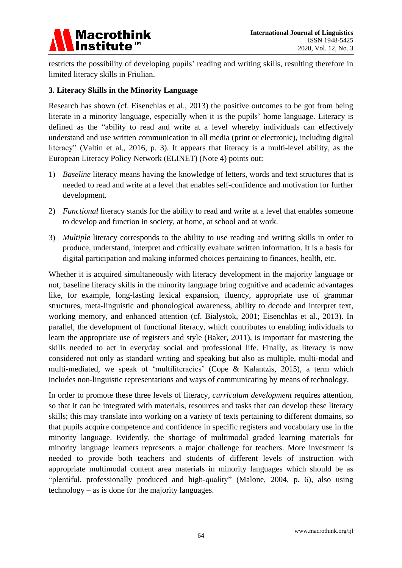

restricts the possibility of developing pupils" reading and writing skills, resulting therefore in limited literacy skills in Friulian.

# **3. Literacy Skills in the Minority Language**

Research has shown (cf. Eisenchlas et al., 2013) the positive outcomes to be got from being literate in a minority language, especially when it is the pupils" home language. Literacy is defined as the "ability to read and write at a level whereby individuals can effectively understand and use written communication in all media (print or electronic), including digital literacy" (Valtin et al., 2016, p. 3). It appears that literacy is a multi-level ability, as the European Literacy Policy Network (ELINET) (Note 4) points out:

- 1) *Baseline* literacy means having the knowledge of letters, words and text structures that is needed to read and write at a level that enables self-confidence and motivation for further development.
- 2) *Functional* literacy stands for the ability to read and write at a level that enables someone to develop and function in society, at home, at school and at work.
- 3) *Multiple* literacy corresponds to the ability to use reading and writing skills in order to produce, understand, interpret and critically evaluate written information. It is a basis for digital participation and making informed choices pertaining to finances, health, etc.

Whether it is acquired simultaneously with literacy development in the majority language or not, baseline literacy skills in the minority language bring cognitive and academic advantages like, for example, long-lasting lexical expansion, fluency, appropriate use of grammar structures, meta-linguistic and phonological awareness, ability to decode and interpret text, working memory, and enhanced attention (cf. Bialystok, 2001; Eisenchlas et al., 2013). In parallel, the development of functional literacy, which contributes to enabling individuals to learn the appropriate use of registers and style (Baker, 2011), is important for mastering the skills needed to act in everyday social and professional life. Finally, as literacy is now considered not only as standard writing and speaking but also as multiple, multi-modal and multi-mediated, we speak of "multiliteracies" (Cope & Kalantzis, 2015), a term which includes non-linguistic representations and ways of communicating by means of technology.

In order to promote these three levels of literacy, *curriculum development* requires attention, so that it can be integrated with materials, resources and tasks that can develop these literacy skills; this may translate into working on a variety of texts pertaining to different domains, so that pupils acquire competence and confidence in specific registers and vocabulary use in the minority language. Evidently, the shortage of multimodal graded learning materials for minority language learners represents a major challenge for teachers. More investment is needed to provide both teachers and students of different levels of instruction with appropriate multimodal content area materials in minority languages which should be as "plentiful, professionally produced and high-quality" (Malone, 2004, p. 6), also using technology – as is done for the majority languages.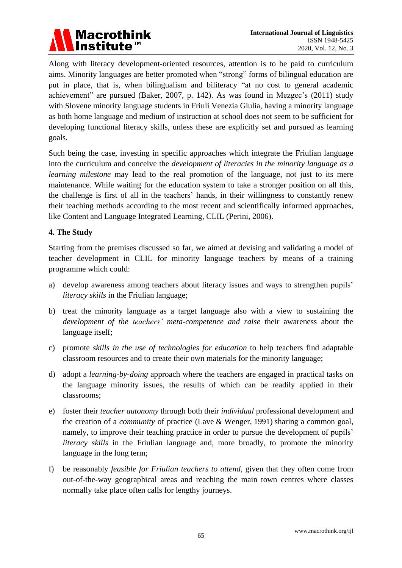

Along with literacy development-oriented resources, attention is to be paid to curriculum aims. Minority languages are better promoted when "strong" forms of bilingual education are put in place, that is, when bilingualism and biliteracy "at no cost to general academic achievement" are pursued (Baker, 2007, p. 142). As was found in Mezgec's (2011) study with Slovene minority language students in Friuli Venezia Giulia, having a minority language as both home language and medium of instruction at school does not seem to be sufficient for developing functional literacy skills, unless these are explicitly set and pursued as learning goals.

Such being the case, investing in specific approaches which integrate the Friulian language into the curriculum and conceive the *development of literacies in the minority language as a learning milestone* may lead to the real promotion of the language, not just to its mere maintenance. While waiting for the education system to take a stronger position on all this, the challenge is first of all in the teachers" hands, in their willingness to constantly renew their teaching methods according to the most recent and scientifically informed approaches, like Content and Language Integrated Learning, CLIL (Perini, 2006).

#### **4. The Study**

Starting from the premises discussed so far, we aimed at devising and validating a model of teacher development in CLIL for minority language teachers by means of a training programme which could:

- a) develop awareness among teachers about literacy issues and ways to strengthen pupils' *literacy skills* in the Friulian language;
- b) treat the minority language as a target language also with a view to sustaining the *development of the teachers' meta-competence and raise* their awareness about the language itself;
- c) promote *skills in the use of technologies for education* to help teachers find adaptable classroom resources and to create their own materials for the minority language;
- d) adopt a *learning-by-doing* approach where the teachers are engaged in practical tasks on the language minority issues, the results of which can be readily applied in their classrooms;
- e) foster their *teacher autonomy* through both their *individual* professional development and the creation of a *community* of practice (Lave & Wenger, 1991) sharing a common goal, namely, to improve their teaching practice in order to pursue the development of pupils' *literacy skills* in the Friulian language and, more broadly, to promote the minority language in the long term;
- f) be reasonably *feasible for Friulian teachers to attend*, given that they often come from out-of-the-way geographical areas and reaching the main town centres where classes normally take place often calls for lengthy journeys.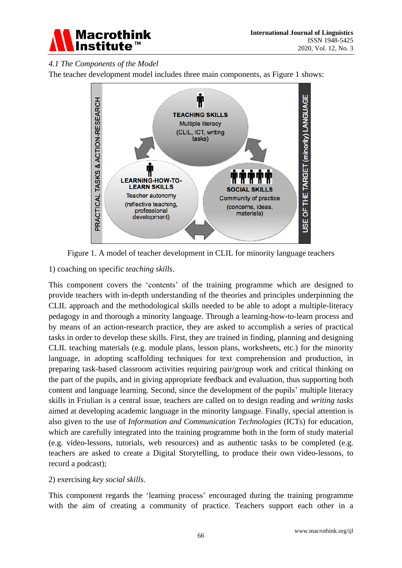

# *4.1 The Components of the Model*

The teacher development model includes three main components, as Figure 1 shows:



Figure 1. A model of teacher development in CLIL for minority language teachers

1) coaching on specific *teaching skills*.

This component covers the "contents" of the training programme which are designed to provide teachers with in-depth understanding of the theories and principles underpinning the CLIL approach and the methodological skills needed to be able to adopt a multiple-literacy pedagogy in and thorough a minority language. Through a learning-how-to-learn process and by means of an action-research practice, they are asked to accomplish a series of practical tasks in order to develop these skills. First, they are trained in finding, planning and designing CLIL teaching materials (e.g. module plans, lesson plans, worksheets, etc.) for the minority language, in adopting scaffolding techniques for text comprehension and production, in preparing task-based classroom activities requiring pair/group work and critical thinking on the part of the pupils, and in giving appropriate feedback and evaluation, thus supporting both content and language learning. Second, since the development of the pupils" multiple literacy skills in Friulian is a central issue, teachers are called on to design reading and *writing tasks* aimed at developing academic language in the minority language. Finally, special attention is also given to the use of *Information and Communication Technologies* (ICTs) for education, which are carefully integrated into the training programme both in the form of study material (e.g. video-lessons, tutorials, web resources) and as authentic tasks to be completed (e.g. teachers are asked to create a Digital Storytelling, to produce their own video-lessons, to record a podcast);

# 2) exercising *key social skills*.

This component regards the 'learning process' encouraged during the training programme with the aim of creating a community of practice. Teachers support each other in a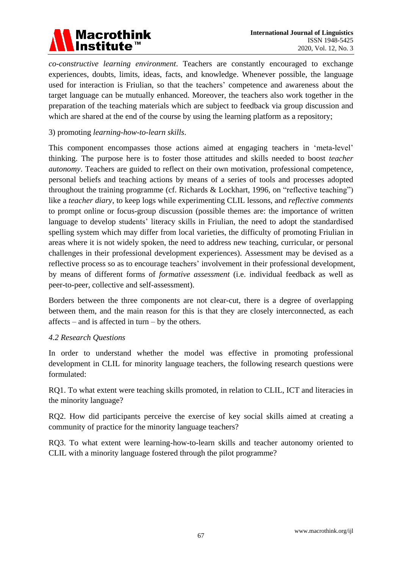

*co-constructive learning environment*. Teachers are constantly encouraged to exchange experiences, doubts, limits, ideas, facts, and knowledge. Whenever possible, the language used for interaction is Friulian, so that the teachers' competence and awareness about the target language can be mutually enhanced. Moreover, the teachers also work together in the preparation of the teaching materials which are subject to feedback via group discussion and which are shared at the end of the course by using the learning platform as a repository;

# 3) promoting *learning-how-to-learn skills*.

This component encompasses those actions aimed at engaging teachers in "meta-level" thinking. The purpose here is to foster those attitudes and skills needed to boost *teacher autonomy*. Teachers are guided to reflect on their own motivation, professional competence, personal beliefs and teaching actions by means of a series of tools and processes adopted throughout the training programme (cf. Richards & Lockhart, 1996, on "reflective teaching") like a *teacher diary*, to keep logs while experimenting CLIL lessons, and *reflective comments* to prompt online or focus-group discussion (possible themes are: the importance of written language to develop students' literacy skills in Friulian, the need to adopt the standardised spelling system which may differ from local varieties, the difficulty of promoting Friulian in areas where it is not widely spoken, the need to address new teaching, curricular, or personal challenges in their professional development experiences). Assessment may be devised as a reflective process so as to encourage teachers' involvement in their professional development, by means of different forms of *formative assessment* (i.e. individual feedback as well as peer-to-peer, collective and self-assessment).

Borders between the three components are not clear-cut, there is a degree of overlapping between them, and the main reason for this is that they are closely interconnected, as each affects – and is affected in turn – by the others.

#### *4.2 Research Questions*

In order to understand whether the model was effective in promoting professional development in CLIL for minority language teachers, the following research questions were formulated:

RQ1. To what extent were teaching skills promoted, in relation to CLIL, ICT and literacies in the minority language?

RQ2. How did participants perceive the exercise of key social skills aimed at creating a community of practice for the minority language teachers?

RQ3. To what extent were learning-how-to-learn skills and teacher autonomy oriented to CLIL with a minority language fostered through the pilot programme?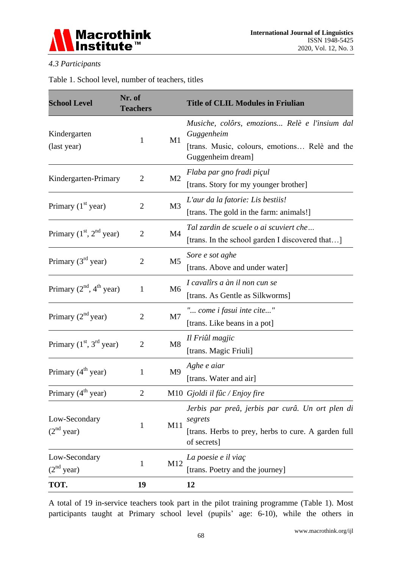

# *4.3 Participants*

Table 1. School level, number of teachers, titles

| <b>School Level</b>                     | Nr. of<br><b>Teachers</b> |                | <b>Title of CLIL Modules in Friulian</b>                                                                                          |
|-----------------------------------------|---------------------------|----------------|-----------------------------------------------------------------------------------------------------------------------------------|
| Kindergarten<br>(last year)             | 1                         | M1             | Musiche, colôrs, emozions Relè e l'insium dal<br>Guggenheim<br>[trans. Music, colours, emotions Relè and the<br>Guggenheim dream] |
| Kindergarten-Primary                    | $\overline{2}$            | M <sub>2</sub> | Flaba par gno fradi pi çul<br>[trans. Story for my younger brother]                                                               |
| Primary $(1st$ year)                    | $\overline{2}$            | M <sub>3</sub> | L'aur da la fatorie: Lis bestiis!<br>[trans. The gold in the farm: animals!]                                                      |
| Primary $(1st, 2nd$ year)               | $\overline{2}$            | M <sub>4</sub> | Tal zardin de scuele o ai scuviert che<br>[trans. In the school garden I discovered that]                                         |
| Primary $(3rd$ year)                    | $\overline{2}$            | M <sub>5</sub> | Sore e sot aghe<br>[trans. Above and under water]                                                                                 |
| Primary $(2nd, 4th$ year)               | 1                         | M <sub>6</sub> | I caval îs a àn il non cun se<br>[trans. As Gentle as Silkworms]                                                                  |
| Primary $(2nd$ year)                    | $\overline{2}$            | M <sub>7</sub> | " come i fasui inte cite"<br>[trans. Like beans in a pot]                                                                         |
| Primary $(1st, 3rd$ year)               | $\overline{2}$            | M8             | Il Fri ûl magjic<br>[trans. Magic Friuli]                                                                                         |
| Primary $(4th$ year)                    | 1                         | M <sub>9</sub> | Aghe e aiar<br>[trans. Water and air]                                                                                             |
| Primary $(4th$ year)                    | $\overline{2}$            |                | M10 Gjoldi il fûc / Enjoy fire                                                                                                    |
| Low-Secondary<br>(2 <sup>nd</sup> year) | 1                         | M11            | Jerbis par preâ, jerbis par curâ Un ort plen di<br>segrets<br>[trans. Herbs to prey, herbs to cure. A garden full<br>of secrets]  |
| Low-Secondary<br>(2 <sup>nd</sup> year) | 1                         | M12            | La poesie e il via ç<br>[trans. Poetry and the journey]                                                                           |
| TOT.                                    | 19                        |                | 12                                                                                                                                |

A total of 19 in-service teachers took part in the pilot training programme (Table 1). Most participants taught at Primary school level (pupils' age: 6-10), while the others in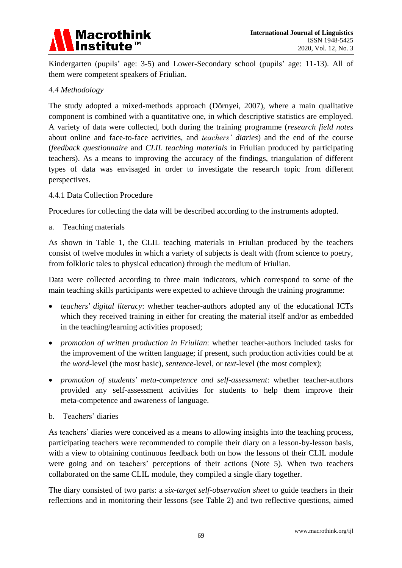

Kindergarten (pupils' age: 3-5) and Lower-Secondary school (pupils' age: 11-13). All of them were competent speakers of Friulian.

#### *4.4 Methodology*

The study adopted a mixed-methods approach (Dörnyei, 2007), where a main qualitative component is combined with a quantitative one, in which descriptive statistics are employed. A variety of data were collected, both during the training programme (*research field notes* about online and face-to-face activities, and *teachers' diaries*) and the end of the course (*feedback questionnaire* and *CLIL teaching materials* in Friulian produced by participating teachers). As a means to improving the accuracy of the findings, triangulation of different types of data was envisaged in order to investigate the research topic from different perspectives.

#### 4.4.1 Data Collection Procedure

Procedures for collecting the data will be described according to the instruments adopted.

a. Teaching materials

As shown in Table 1, the CLIL teaching materials in Friulian produced by the teachers consist of twelve modules in which a variety of subjects is dealt with (from science to poetry, from folkloric tales to physical education) through the medium of Friulian.

Data were collected according to three main indicators, which correspond to some of the main teaching skills participants were expected to achieve through the training programme:

- *teachers' digital literacy*: whether teacher-authors adopted any of the educational ICTs which they received training in either for creating the material itself and/or as embedded in the teaching/learning activities proposed;
- *promotion of written production in Friulian*: whether teacher-authors included tasks for the improvement of the written language; if present, such production activities could be at the *word*-level (the most basic), *sentence*-level, or *text*-level (the most complex);
- *promotion of students' meta-competence and self-assessment*: whether teacher-authors provided any self-assessment activities for students to help them improve their meta-competence and awareness of language.
- b. Teachers' diaries

As teachers' diaries were conceived as a means to allowing insights into the teaching process, participating teachers were recommended to compile their diary on a lesson-by-lesson basis, with a view to obtaining continuous feedback both on how the lessons of their CLIL module were going and on teachers' perceptions of their actions (Note 5). When two teachers collaborated on the same CLIL module, they compiled a single diary together.

The diary consisted of two parts: a *six-target self-observation sheet* to guide teachers in their reflections and in monitoring their lessons (see Table 2) and two reflective questions, aimed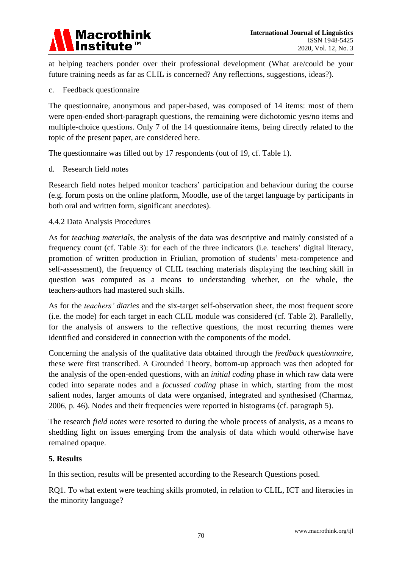

at helping teachers ponder over their professional development (What are/could be your future training needs as far as CLIL is concerned? Any reflections, suggestions, ideas?).

#### c. Feedback questionnaire

The questionnaire, anonymous and paper-based, was composed of 14 items: most of them were open-ended short-paragraph questions, the remaining were dichotomic yes/no items and multiple-choice questions. Only 7 of the 14 questionnaire items, being directly related to the topic of the present paper, are considered here.

The questionnaire was filled out by 17 respondents (out of 19, cf. Table 1).

#### d. Research field notes

Research field notes helped monitor teachers" participation and behaviour during the course (e.g. forum posts on the online platform, Moodle, use of the target language by participants in both oral and written form, significant anecdotes).

#### 4.4.2 Data Analysis Procedures

As for *teaching materials*, the analysis of the data was descriptive and mainly consisted of a frequency count (cf. Table 3): for each of the three indicators (i.e. teachers' digital literacy, promotion of written production in Friulian, promotion of students" meta-competence and self-assessment), the frequency of CLIL teaching materials displaying the teaching skill in question was computed as a means to understanding whether, on the whole, the teachers-authors had mastered such skills.

As for the *teachers' diaries* and the six-target self-observation sheet, the most frequent score (i.e. the mode) for each target in each CLIL module was considered (cf. Table 2). Parallelly, for the analysis of answers to the reflective questions, the most recurring themes were identified and considered in connection with the components of the model.

Concerning the analysis of the qualitative data obtained through the *feedback questionnaire*, these were first transcribed. A Grounded Theory, bottom-up approach was then adopted for the analysis of the open-ended questions, with an *initial coding* phase in which raw data were coded into separate nodes and a *focussed coding* phase in which, starting from the most salient nodes, larger amounts of data were organised, integrated and synthesised (Charmaz, 2006, p. 46). Nodes and their frequencies were reported in histograms (cf. paragraph 5).

The research *field notes* were resorted to during the whole process of analysis, as a means to shedding light on issues emerging from the analysis of data which would otherwise have remained opaque.

#### **5. Results**

In this section, results will be presented according to the Research Questions posed.

RQ1. To what extent were teaching skills promoted, in relation to CLIL, ICT and literacies in the minority language?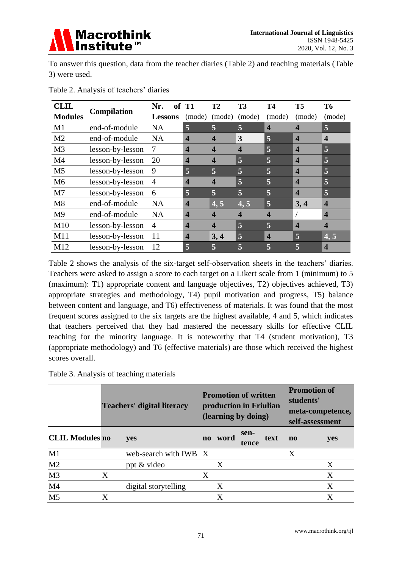

To answer this question, data from the teacher diaries (Table 2) and teaching materials (Table 3) were used.

| <b>CLIL</b>    |                  | Nr.            | of | T1                      | T2                      | T3     | Т4                      | T5                      | Т6                      |
|----------------|------------------|----------------|----|-------------------------|-------------------------|--------|-------------------------|-------------------------|-------------------------|
| <b>Modules</b> | Compilation      | <b>Lessons</b> |    | (mode)                  | (mode)                  | (mode) | (mode)                  | (mode)                  | (mode)                  |
| M1             | end-of-module    | <b>NA</b>      |    | 5                       | 5                       | 5      | $\overline{\mathbf{4}}$ | $\overline{\mathbf{4}}$ | $\overline{5}$          |
| M <sub>2</sub> | end-of-module    | <b>NA</b>      |    | 4                       | $\boldsymbol{4}$        | 3      | 5                       | $\overline{\mathbf{4}}$ | $\overline{\mathbf{4}}$ |
| M <sub>3</sub> | lesson-by-lesson | 7              |    | 4                       | $\overline{\mathbf{4}}$ | 4      | $\overline{5}$          | $\overline{\mathbf{4}}$ | $\overline{5}$          |
| M <sub>4</sub> | lesson-by-lesson | 20             |    | 4                       | $\overline{\mathbf{4}}$ | 5      | 5                       | $\overline{\mathbf{4}}$ | 5                       |
| M <sub>5</sub> | lesson-by-lesson | 9              |    | 5                       | 5                       | 5      | 5                       | $\overline{\mathbf{4}}$ | 5                       |
| M <sub>6</sub> | lesson-by-lesson | 4              |    | 4                       | $\overline{4}$          | 5      | 5                       | $\overline{\mathbf{4}}$ | $\overline{5}$          |
| M <sub>7</sub> | lesson-by-lesson | 6              |    | 5                       | 5                       | 5      | $\overline{\mathbf{5}}$ | $\overline{\mathbf{4}}$ | 5                       |
| M8             | end-of-module    | <b>NA</b>      |    | 4                       | 4, 5                    | 4, 5   | 5                       | 3,4                     | $\overline{\mathbf{4}}$ |
| M <sub>9</sub> | end-of-module    | <b>NA</b>      |    | 4                       | $\overline{\mathbf{4}}$ | 4      | $\overline{\mathbf{4}}$ |                         | $\overline{\mathbf{4}}$ |
| M10            | lesson-by-lesson | $\overline{A}$ |    | 4                       | $\boldsymbol{4}$        | 5      | $\overline{\mathbf{5}}$ | $\overline{\mathbf{4}}$ | $\overline{\mathbf{4}}$ |
| M11            | lesson-by-lesson | 11             |    | $\overline{\mathbf{4}}$ | 3,4                     | 5      | $\overline{\mathbf{4}}$ | 5                       | 4, 5                    |
| M12            | lesson-by-lesson | 12             |    | 5                       | 5                       | 5      | 5                       | 5                       | $\boldsymbol{4}$        |

Table 2. Analysis of teachers' diaries

Table 2 shows the analysis of the six-target self-observation sheets in the teachers' diaries. Teachers were asked to assign a score to each target on a Likert scale from 1 (minimum) to 5 (maximum): T1) appropriate content and language objectives, T2) objectives achieved, T3) appropriate strategies and methodology, T4) pupil motivation and progress, T5) balance between content and language, and T6) effectiveness of materials. It was found that the most frequent scores assigned to the six targets are the highest available, 4 and 5, which indicates that teachers perceived that they had mastered the necessary skills for effective CLIL teaching for the minority language. It is noteworthy that T4 (student motivation), T3 (appropriate methodology) and T6 (effective materials) are those which received the highest scores overall.

Table 3. Analysis of teaching materials

|                        |   | <b>Teachers' digital literacy</b> | <b>Promotion of written</b><br>production in Friulian<br>(learning by doing) |      |               |      |           | <b>Promotion of</b><br>students'<br>meta-competence,<br>self-assessment |  |
|------------------------|---|-----------------------------------|------------------------------------------------------------------------------|------|---------------|------|-----------|-------------------------------------------------------------------------|--|
| <b>CLIL Modules no</b> |   | yes                               | $\bf{no}$                                                                    | word | sen-<br>tence | text | $\bf{no}$ | yes                                                                     |  |
| M1                     |   | web-search with IWB X             |                                                                              |      |               |      | X         |                                                                         |  |
| M <sub>2</sub>         |   | ppt & video                       |                                                                              | Χ    |               |      |           | Χ                                                                       |  |
| M <sub>3</sub>         | Χ |                                   | Χ                                                                            |      |               |      |           | X                                                                       |  |
| M <sub>4</sub>         |   | digital storytelling              |                                                                              | X    |               |      |           | X                                                                       |  |
| M <sub>5</sub>         | X |                                   |                                                                              | X    |               |      |           | X                                                                       |  |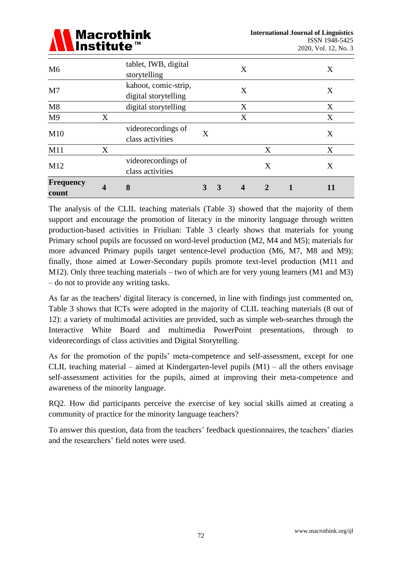

| <b>Frequency</b><br>count | $\boldsymbol{4}$ | 8                                            | 3 | $\mathbf{3}$ | $\overline{\mathbf{4}}$ | 2 | 11 |
|---------------------------|------------------|----------------------------------------------|---|--------------|-------------------------|---|----|
| M12                       |                  | videorecordings of<br>class activities       |   |              |                         | X | X  |
| M11                       | X                |                                              |   |              |                         | X | X  |
| M10                       |                  | videorecordings of<br>class activities       | X |              |                         |   | X  |
| M <sub>9</sub>            | X                |                                              |   |              | X                       |   | X  |
| M8                        |                  | digital storytelling                         |   |              | X                       |   | X  |
| M <sub>7</sub>            |                  | kahoot, comic-strip,<br>digital storytelling |   |              | X                       |   | X  |
| M <sub>6</sub>            |                  | tablet, IWB, digital<br>storytelling         |   |              | X                       |   | X  |

The analysis of the CLIL teaching materials (Table 3) showed that the majority of them support and encourage the promotion of literacy in the minority language through written production-based activities in Friulian: Table 3 clearly shows that materials for young Primary school pupils are focussed on word-level production (M2, M4 and M5); materials for more advanced Primary pupils target sentence-level production (M6, M7, M8 and M9); finally, those aimed at Lower-Secondary pupils promote text-level production (M11 and M12). Only three teaching materials – two of which are for very young learners (M1 and M3) – do not to provide any writing tasks.

As far as the teachers' digital literacy is concerned, in line with findings just commented on, Table 3 shows that ICTs were adopted in the majority of CLIL teaching materials (8 out of 12): a variety of multimodal activities are provided, such as simple web-searches through the Interactive White Board and multimedia PowerPoint presentations, through to videorecordings of class activities and Digital Storytelling.

As for the promotion of the pupils' meta-competence and self-assessment, except for one CLIL teaching material – aimed at Kindergarten-level pupils  $(M1)$  – all the others envisage self-assessment activities for the pupils, aimed at improving their meta-competence and awareness of the minority language.

RQ2. How did participants perceive the exercise of key social skills aimed at creating a community of practice for the minority language teachers?

To answer this question, data from the teachers" feedback questionnaires, the teachers" diaries and the researchers' field notes were used.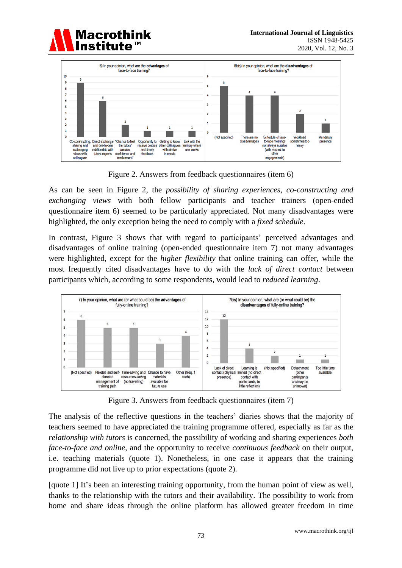



Figure 2. Answers from feedback questionnaires (item 6)

As can be seen in Figure 2, the *possibility of sharing experiences*, *co-constructing and exchanging views* with both fellow participants and teacher trainers (open-ended questionnaire item 6) seemed to be particularly appreciated. Not many disadvantages were highlighted, the only exception being the need to comply with a *fixed schedule*.

In contrast, Figure 3 shows that with regard to participants' perceived advantages and disadvantages of online training (open-ended questionnaire item 7) not many advantages were highlighted, except for the *higher flexibility* that online training can offer, while the most frequently cited disadvantages have to do with the *lack of direct contact* between participants which, according to some respondents, would lead to *reduced learning*.



Figure 3. Answers from feedback questionnaires (item 7)

The analysis of the reflective questions in the teachers' diaries shows that the majority of teachers seemed to have appreciated the training programme offered, especially as far as the *relationship with tutors* is concerned, the possibility of working and sharing experiences *both face-to-face and online*, and the opportunity to receive *continuous feedback* on their output, i.e. teaching materials (quote 1). Nonetheless, in one case it appears that the training programme did not live up to prior expectations (quote 2).

[quote 1] It's been an interesting training opportunity, from the human point of view as well, thanks to the relationship with the tutors and their availability. The possibility to work from home and share ideas through the online platform has allowed greater freedom in time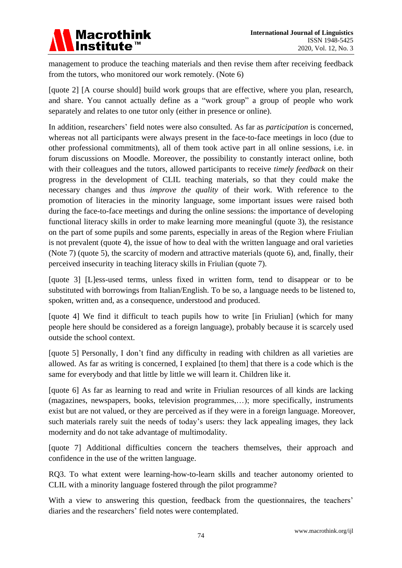management to produce the teaching materials and then revise them after receiving feedback from the tutors, who monitored our work remotely. (Note 6)

[quote 2] [A course should] build work groups that are effective, where you plan, research, and share. You cannot actually define as a "work group" a group of people who work separately and relates to one tutor only (either in presence or online).

In addition, researchers" field notes were also consulted. As far as *participation* is concerned, whereas not all participants were always present in the face-to-face meetings in loco (due to other professional commitments), all of them took active part in all online sessions, i.e. in forum discussions on Moodle. Moreover, the possibility to constantly interact online, both with their colleagues and the tutors, allowed participants to receive *timely feedback* on their progress in the development of CLIL teaching materials, so that they could make the necessary changes and thus *improve the quality* of their work. With reference to the promotion of literacies in the minority language, some important issues were raised both during the face-to-face meetings and during the online sessions: the importance of developing functional literacy skills in order to make learning more meaningful (quote 3), the resistance on the part of some pupils and some parents, especially in areas of the Region where Friulian is not prevalent (quote 4), the issue of how to deal with the written language and oral varieties (Note 7) (quote 5), the scarcity of modern and attractive materials (quote 6), and, finally, their perceived insecurity in teaching literacy skills in Friulian (quote 7).

[quote 3] [L]ess-used terms, unless fixed in written form, tend to disappear or to be substituted with borrowings from Italian/English. To be so, a language needs to be listened to, spoken, written and, as a consequence, understood and produced.

[quote 4] We find it difficult to teach pupils how to write [in Friulian] (which for many people here should be considered as a foreign language), probably because it is scarcely used outside the school context.

[quote 5] Personally, I don"t find any difficulty in reading with children as all varieties are allowed. As far as writing is concerned, I explained [to them] that there is a code which is the same for everybody and that little by little we will learn it. Children like it.

[quote 6] As far as learning to read and write in Friulian resources of all kinds are lacking (magazines, newspapers, books, television programmes,…); more specifically, instruments exist but are not valued, or they are perceived as if they were in a foreign language. Moreover, such materials rarely suit the needs of today"s users: they lack appealing images, they lack modernity and do not take advantage of multimodality.

[quote 7] Additional difficulties concern the teachers themselves, their approach and confidence in the use of the written language.

RQ3. To what extent were learning-how-to-learn skills and teacher autonomy oriented to CLIL with a minority language fostered through the pilot programme?

With a view to answering this question, feedback from the questionnaires, the teachers' diaries and the researchers' field notes were contemplated.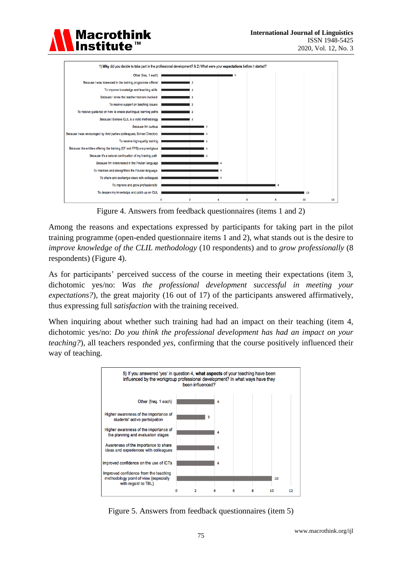

To share and exchange views with colleagues To improve and grow professionally To deepen my knowledge and catch up on CLIL

Figure 4. Answers from feedback questionnaires (items 1 and 2)

Among the reasons and expectations expressed by participants for taking part in the pilot training programme (open-ended questionnaire items 1 and 2), what stands out is the desire to *improve knowledge of the CLIL methodology* (10 respondents) and to *grow professionally* (8 respondents) (Figure 4).

As for participants' perceived success of the course in meeting their expectations (item 3, dichotomic yes/no: *Was the professional development successful in meeting your expectations?*), the great majority (16 out of 17) of the participants answered affirmatively, thus expressing full *satisfaction* with the training received.

When inquiring about whether such training had had an impact on their teaching (item 4, dichotomic yes/no: *Do you think the professional development has had an impact on your teaching?*), all teachers responded *yes*, confirming that the course positively influenced their way of teaching.



Figure 5. Answers from feedback questionnaires (item 5)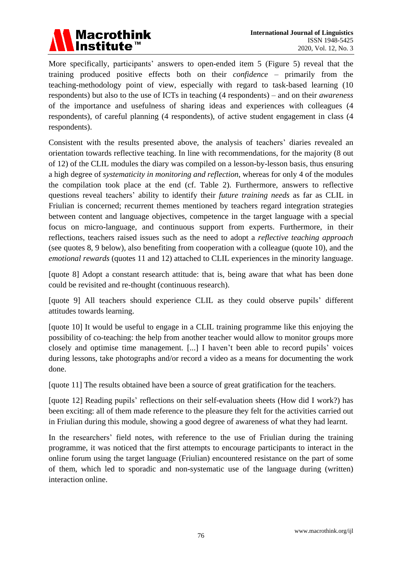

More specifically, participants' answers to open-ended item 5 (Figure 5) reveal that the training produced positive effects both on their *confidence* – primarily from the teaching-methodology point of view, especially with regard to task-based learning (10 respondents) but also to the use of ICTs in teaching (4 respondents) – and on their *awareness* of the importance and usefulness of sharing ideas and experiences with colleagues (4 respondents), of careful planning (4 respondents), of active student engagement in class (4 respondents).

Consistent with the results presented above, the analysis of teachers" diaries revealed an orientation towards reflective teaching. In line with recommendations, for the majority (8 out of 12) of the CLIL modules the diary was compiled on a lesson-by-lesson basis, thus ensuring a high degree of *systematicity in monitoring and reflection*, whereas for only 4 of the modules the compilation took place at the end (cf. Table 2). Furthermore, answers to reflective questions reveal teachers" ability to identify their *future training needs* as far as CLIL in Friulian is concerned; recurrent themes mentioned by teachers regard integration strategies between content and language objectives, competence in the target language with a special focus on micro-language, and continuous support from experts. Furthermore, in their reflections, teachers raised issues such as the need to adopt a *reflective teaching approach* (see quotes 8, 9 below), also benefiting from cooperation with a colleague (quote 10), and the *emotional rewards* (quotes 11 and 12) attached to CLIL experiences in the minority language.

[quote 8] Adopt a constant research attitude: that is, being aware that what has been done could be revisited and re-thought (continuous research).

[quote 9] All teachers should experience CLIL as they could observe pupils' different attitudes towards learning.

[quote 10] It would be useful to engage in a CLIL training programme like this enjoying the possibility of co-teaching: the help from another teacher would allow to monitor groups more closely and optimise time management. [...] I haven"t been able to record pupils" voices during lessons, take photographs and/or record a video as a means for documenting the work done.

[quote 11] The results obtained have been a source of great gratification for the teachers.

[quote 12] Reading pupils" reflections on their self-evaluation sheets (How did I work?) has been exciting: all of them made reference to the pleasure they felt for the activities carried out in Friulian during this module, showing a good degree of awareness of what they had learnt.

In the researchers' field notes, with reference to the use of Friulian during the training programme, it was noticed that the first attempts to encourage participants to interact in the online forum using the target language (Friulian) encountered resistance on the part of some of them, which led to sporadic and non-systematic use of the language during (written) interaction online.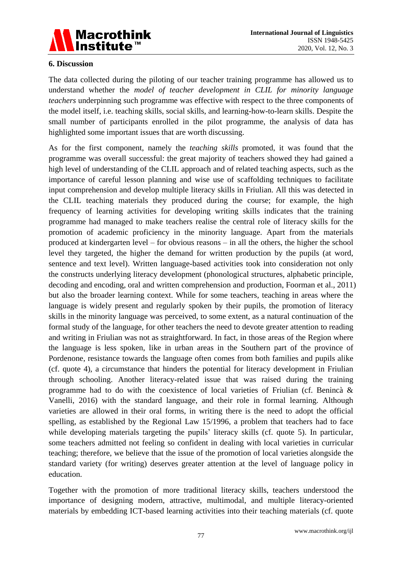

#### **6. Discussion**

The data collected during the piloting of our teacher training programme has allowed us to understand whether the *model of teacher development in CLIL for minority language teachers* underpinning such programme was effective with respect to the three components of the model itself, i.e. teaching skills, social skills, and learning-how-to-learn skills. Despite the small number of participants enrolled in the pilot programme, the analysis of data has highlighted some important issues that are worth discussing.

As for the first component, namely the *teaching skills* promoted, it was found that the programme was overall successful: the great majority of teachers showed they had gained a high level of understanding of the CLIL approach and of related teaching aspects, such as the importance of careful lesson planning and wise use of scaffolding techniques to facilitate input comprehension and develop multiple literacy skills in Friulian. All this was detected in the CLIL teaching materials they produced during the course; for example, the high frequency of learning activities for developing writing skills indicates that the training programme had managed to make teachers realise the central role of literacy skills for the promotion of academic proficiency in the minority language. Apart from the materials produced at kindergarten level – for obvious reasons – in all the others, the higher the school level they targeted, the higher the demand for written production by the pupils (at word, sentence and text level). Written language-based activities took into consideration not only the constructs underlying literacy development (phonological structures, alphabetic principle, decoding and encoding, oral and written comprehension and production, Foorman et al., 2011) but also the broader learning context. While for some teachers, teaching in areas where the language is widely present and regularly spoken by their pupils, the promotion of literacy skills in the minority language was perceived, to some extent, as a natural continuation of the formal study of the language, for other teachers the need to devote greater attention to reading and writing in Friulian was not as straightforward. In fact, in those areas of the Region where the language is less spoken, like in urban areas in the Southern part of the province of Pordenone, resistance towards the language often comes from both families and pupils alike (cf. quote 4), a circumstance that hinders the potential for literacy development in Friulian through schooling. Another literacy-related issue that was raised during the training programme had to do with the coexistence of local varieties of Friulian (cf. Benincà  $\&$ Vanelli, 2016) with the standard language, and their role in formal learning. Although varieties are allowed in their oral forms, in writing there is the need to adopt the official spelling, as established by the Regional Law 15/1996, a problem that teachers had to face while developing materials targeting the pupils' literacy skills (cf. quote 5). In particular, some teachers admitted not feeling so confident in dealing with local varieties in curricular teaching; therefore, we believe that the issue of the promotion of local varieties alongside the standard variety (for writing) deserves greater attention at the level of language policy in education.

Together with the promotion of more traditional literacy skills, teachers understood the importance of designing modern, attractive, multimodal, and multiple literacy-oriented materials by embedding ICT-based learning activities into their teaching materials (cf. quote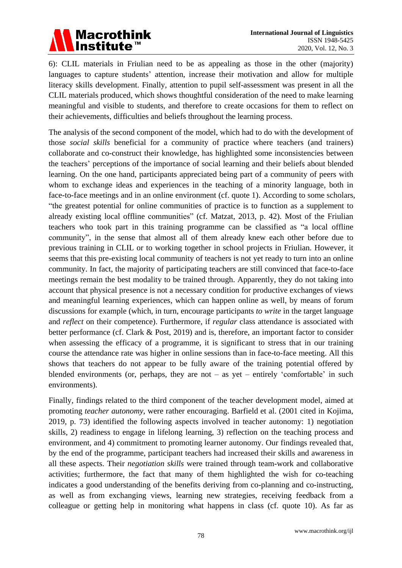

6): CLIL materials in Friulian need to be as appealing as those in the other (majority) languages to capture students' attention, increase their motivation and allow for multiple literacy skills development. Finally, attention to pupil self-assessment was present in all the CLIL materials produced, which shows thoughtful consideration of the need to make learning meaningful and visible to students, and therefore to create occasions for them to reflect on their achievements, difficulties and beliefs throughout the learning process.

The analysis of the second component of the model, which had to do with the development of those *social skills* beneficial for a community of practice where teachers (and trainers) collaborate and co-construct their knowledge, has highlighted some inconsistencies between the teachers" perceptions of the importance of social learning and their beliefs about blended learning. On the one hand, participants appreciated being part of a community of peers with whom to exchange ideas and experiences in the teaching of a minority language, both in face-to-face meetings and in an online environment (cf. quote 1). According to some scholars, "the greatest potential for online communities of practice is to function as a supplement to already existing local offline communities" (cf. Matzat, 2013, p. 42). Most of the Friulian teachers who took part in this training programme can be classified as "a local offline community", in the sense that almost all of them already knew each other before due to previous training in CLIL or to working together in school projects in Friulian. However, it seems that this pre-existing local community of teachers is not yet ready to turn into an online community. In fact, the majority of participating teachers are still convinced that face-to-face meetings remain the best modality to be trained through. Apparently, they do not taking into account that physical presence is not a necessary condition for productive exchanges of views and meaningful learning experiences, which can happen online as well, by means of forum discussions for example (which, in turn, encourage participants *to write* in the target language and *reflect* on their competence). Furthermore, if *regular* class attendance is associated with better performance (cf. Clark & Post, 2019) and is, therefore, an important factor to consider when assessing the efficacy of a programme, it is significant to stress that in our training course the attendance rate was higher in online sessions than in face-to-face meeting. All this shows that teachers do not appear to be fully aware of the training potential offered by blended environments (or, perhaps, they are not – as yet – entirely 'comfortable' in such environments).

Finally, findings related to the third component of the teacher development model, aimed at promoting *teacher autonomy*, were rather encouraging. Barfield et al. (2001 cited in Kojima, 2019, p. 73) identified the following aspects involved in teacher autonomy: 1) negotiation skills, 2) readiness to engage in lifelong learning, 3) reflection on the teaching process and environment, and 4) commitment to promoting learner autonomy. Our findings revealed that, by the end of the programme, participant teachers had increased their skills and awareness in all these aspects. Their *negotiation skills* were trained through team-work and collaborative activities; furthermore, the fact that many of them highlighted the wish for co-teaching indicates a good understanding of the benefits deriving from co-planning and co-instructing, as well as from exchanging views, learning new strategies, receiving feedback from a colleague or getting help in monitoring what happens in class (cf. quote 10). As far as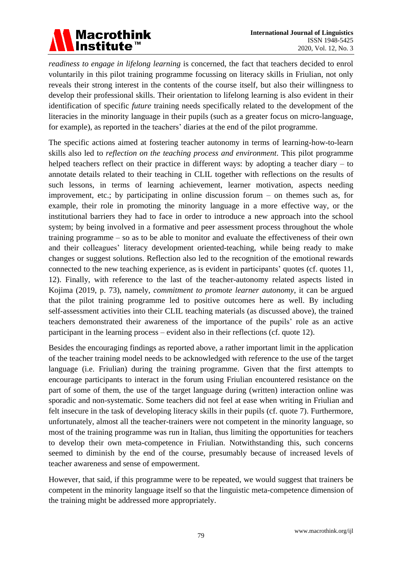

*readiness to engage in lifelong learning* is concerned, the fact that teachers decided to enrol voluntarily in this pilot training programme focussing on literacy skills in Friulian, not only reveals their strong interest in the contents of the course itself, but also their willingness to develop their professional skills. Their orientation to lifelong learning is also evident in their identification of specific *future* training needs specifically related to the development of the literacies in the minority language in their pupils (such as a greater focus on micro-language, for example), as reported in the teachers' diaries at the end of the pilot programme.

The specific actions aimed at fostering teacher autonomy in terms of learning-how-to-learn skills also led to *reflection on the teaching process and environment*. This pilot programme helped teachers reflect on their practice in different ways: by adopting a teacher diary – to annotate details related to their teaching in CLIL together with reflections on the results of such lessons, in terms of learning achievement, learner motivation, aspects needing improvement, etc.; by participating in online discussion forum – on themes such as, for example, their role in promoting the minority language in a more effective way, or the institutional barriers they had to face in order to introduce a new approach into the school system; by being involved in a formative and peer assessment process throughout the whole training programme – so as to be able to monitor and evaluate the effectiveness of their own and their colleagues" literacy development oriented-teaching, while being ready to make changes or suggest solutions. Reflection also led to the recognition of the emotional rewards connected to the new teaching experience, as is evident in participants' quotes (cf. quotes 11, 12). Finally, with reference to the last of the teacher-autonomy related aspects listed in Kojima (2019, p. 73), namely, *commitment to promote learner autonomy*, it can be argued that the pilot training programme led to positive outcomes here as well. By including self-assessment activities into their CLIL teaching materials (as discussed above), the trained teachers demonstrated their awareness of the importance of the pupils" role as an active participant in the learning process – evident also in their reflections (cf. quote 12).

Besides the encouraging findings as reported above, a rather important limit in the application of the teacher training model needs to be acknowledged with reference to the use of the target language (i.e. Friulian) during the training programme. Given that the first attempts to encourage participants to interact in the forum using Friulian encountered resistance on the part of some of them, the use of the target language during (written) interaction online was sporadic and non-systematic. Some teachers did not feel at ease when writing in Friulian and felt insecure in the task of developing literacy skills in their pupils (cf. quote 7). Furthermore, unfortunately, almost all the teacher-trainers were not competent in the minority language, so most of the training programme was run in Italian, thus limiting the opportunities for teachers to develop their own meta-competence in Friulian. Notwithstanding this, such concerns seemed to diminish by the end of the course, presumably because of increased levels of teacher awareness and sense of empowerment.

However, that said, if this programme were to be repeated, we would suggest that trainers be competent in the minority language itself so that the linguistic meta-competence dimension of the training might be addressed more appropriately.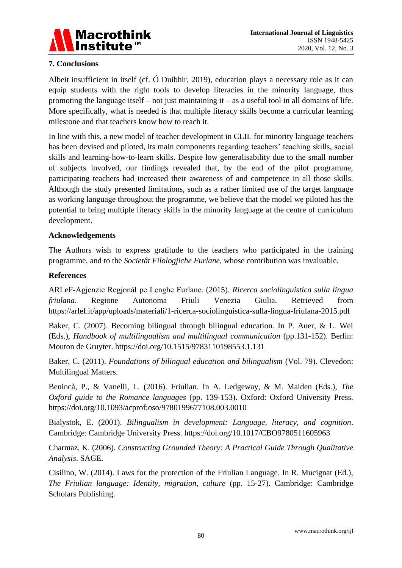

# **7. Conclusions**

Albeit insufficient in itself (cf. Ó Duibhir, 2019), education plays a necessary role as it can equip students with the right tools to develop literacies in the minority language, thus promoting the language itself – not just maintaining it – as a useful tool in all domains of life. More specifically, what is needed is that multiple literacy skills become a curricular learning milestone and that teachers know how to reach it.

In line with this, a new model of teacher development in CLIL for minority language teachers has been devised and piloted, its main components regarding teachers' teaching skills, social skills and learning-how-to-learn skills. Despite low generalisability due to the small number of subjects involved, our findings revealed that, by the end of the pilot programme, participating teachers had increased their awareness of and competence in all those skills. Although the study presented limitations, such as a rather limited use of the target language as working language throughout the programme, we believe that the model we piloted has the potential to bring multiple literacy skills in the minority language at the centre of curriculum development.

#### **Acknowledgements**

The Authors wish to express gratitude to the teachers who participated in the training programme, and to the *Societât Filologjiche Furlane*, whose contribution was invaluable.

#### **References**

ARLeF-Agjenzie Regjonâl pe Lenghe Furlane. (2015). *Ricerca sociolinguistica sulla lingua friulana*. Regione Autonoma Friuli Venezia Giulia. Retrieved from https://arlef.it/app/uploads/materiali/1-ricerca-sociolinguistica-sulla-lingua-friulana-2015.pdf

Baker, C. (2007). Becoming bilingual through bilingual education. In P. Auer, & L. Wei (Eds.), *Handbook of multilingualism and multilingual communication* (pp.131-152). Berlin: Mouton de Gruyter. https://doi.org/10.1515/9783110198553.1.131

Baker, C. (2011). *Foundations of bilingual education and bilingualism* (Vol. 79). Clevedon: Multilingual Matters.

Benincà, P., & Vanelli, L. (2016). Friulian. In A. Ledgeway, & M. Maiden (Eds.), *The Oxford guide to the Romance languages* (pp. 139-153). Oxford: Oxford University Press. https://doi.org/10.1093/acprof:oso/9780199677108.003.0010

Bialystok, E. (2001). *Bilingualism in development: Language, literacy, and cognition*. Cambridge: Cambridge University Press. https://doi.org/10.1017/CBO9780511605963

Charmaz, K. (2006). *Constructing Grounded Theory: A Practical Guide Through Qualitative Analysis*. SAGE.

Cisilino, W. (2014). Laws for the protection of the Friulian Language. In R. Mucignat (Ed.), *The Friulian language: Identity, migration, culture* (pp. 15-27). Cambridge: Cambridge Scholars Publishing.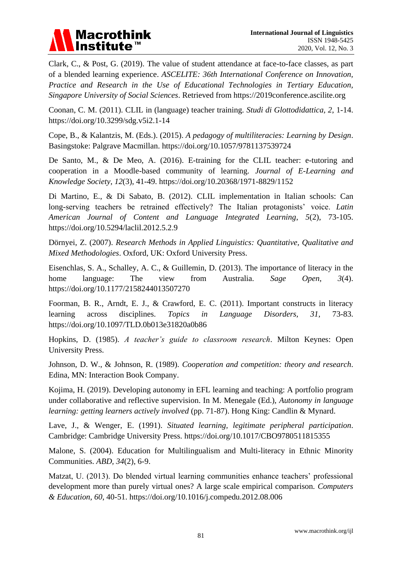

Clark, C., & Post, G. (2019). The value of student attendance at face-to-face classes, as part of a blended learning experience. *ASCELITE: 36th International Conference on Innovation, Practice and Research in the Use of Educational Technologies in Tertiary Education, Singapore University of Social Sciences*. Retrieved from https://2019conference.ascilite.org

Coonan, C. M. (2011). CLIL in (language) teacher training*. Studi di Glottodidattica, 2*, 1-14. https://doi.org/10.3299/sdg.v5i2.1-14

Cope, B., & Kalantzis, M. (Eds.). (2015). *A pedagogy of multiliteracies: Learning by Design*. Basingstoke: Palgrave Macmillan. https://doi.org/10.1057/9781137539724

De Santo, M., & De Meo, A. (2016). E-training for the CLIL teacher: e-tutoring and cooperation in a Moodle-based community of learning. *Journal of E-Learning and Knowledge Society*, *12*(3), 41-49. https://doi.org/10.20368/1971-8829/1152

Di Martino, E., & Di Sabato, B. (2012). CLIL implementation in Italian schools: Can long-serving teachers be retrained effectively? The Italian protagonists' voice. *Latin American Journal of Content and Language Integrated Learning*, *5*(2), 73-105. https://doi.org/10.5294/laclil.2012.5.2.9

Dörnyei, Z. (2007). *Research Methods in Applied Linguistics: Quantitative, Qualitative and Mixed Methodologies*. Oxford, UK: Oxford University Press.

Eisenchlas, S. A., Schalley, A. C., & Guillemin, D. (2013). The importance of literacy in the home language: The view from Australia. *Sage Open*, *3*(4). https://doi.org/10.1177/2158244013507270

Foorman, B. R., Arndt, E. J., & Crawford, E. C. (2011). Important constructs in literacy learning across disciplines. *Topics in Language Disorders, 31,* 73-83. https://doi.org/10.1097/TLD.0b013e31820a0b86

Hopkins, D. (1985). *A teacher's guide to classroom research*. Milton Keynes: Open University Press.

Johnson, D. W., & Johnson, R. (1989). *Cooperation and competition: theory and research*. Edina, MN: Interaction Book Company.

Kojima, H. (2019). Developing autonomy in EFL learning and teaching: A portfolio program under collaborative and reflective supervision. In M. Menegale (Ed.), *Autonomy in language learning: getting learners actively involved* (pp. 71-87). Hong King: Candlin & Mynard.

Lave, J., & Wenger, E. (1991). *Situated learning, legitimate peripheral participation*. Cambridge: Cambridge University Press. https://doi.org/10.1017/CBO9780511815355

Malone, S. (2004). Education for Multilingualism and Multi-literacy in Ethnic Minority Communities. *ABD, 34*(2), 6-9.

Matzat, U. (2013). Do blended virtual learning communities enhance teachers' professional development more than purely virtual ones? A large scale empirical comparison. *Computers & Education, 60*, 40-51. https://doi.org/10.1016/j.compedu.2012.08.006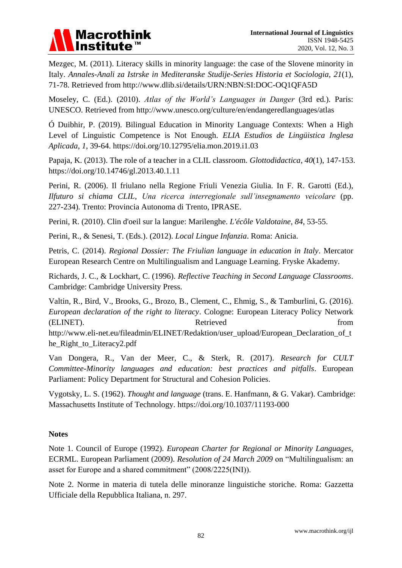

Mezgec, M. (2011). Literacy skills in minority language: the case of the Slovene minority in Italy. *Annales-Anali za Istrske in Mediteranske Studije-Series Historia et Sociologia*, *21*(1), 71-78. Retrieved from http://www.dlib.si/details/URN:NBN:SI:DOC-OQ1QFA5D

Moseley, C. (Ed.). (2010). *Atlas of the World's Languages in Danger* (3rd ed.). Paris: UNESCO. Retrieved from http://www.unesco.org/culture/en/endangeredlanguages/atlas

Ó Duibhir, P. (2019). Bilingual Education in Minority Language Contexts: When a High Level of Linguistic Competence is Not Enough. *ELIA Estudios de Lingüistica Inglesa Aplicada*, *1*, 39-64. https://doi.org/10.12795/elia.mon.2019.i1.03

Papaja, K. (2013). The role of a teacher in a CLIL classroom. *Glottodidactica*, *40*(1), 147-153. https://doi.org/10.14746/gl.2013.40.1.11

Perini, R. (2006). Il friulano nella Regione Friuli Venezia Giulia. In F. R. Garotti (Ed.), *Ilfuturo si chiama CLIL, Una ricerca interregionale sull'insegnamento veicolare* (pp. 227-234)*.* Trento: Provincia Autonoma di Trento, IPRASE.

Perini, R. (2010). Clin d'oeil sur la langue: Marilenghe. *L'écôle Valdotaine, 84*, 53-55.

Perini, R., & Senesi, T. (Eds.). (2012). *Local Lingue Infanzia*. Roma: Anicia.

Petris, C. (2014). *Regional Dossier: The Friulian language in education in Italy*. Mercator European Research Centre on Multilingualism and Language Learning. Fryske Akademy.

Richards, J. C., & Lockhart, C. (1996). *Reflective Teaching in Second Language Classrooms*. Cambridge: Cambridge University Press.

Valtin, R., Bird, V., Brooks, G., Brozo, B., Clement, C., Ehmig, S., & Tamburlini, G. (2016). *European declaration of the right to literacy*. Cologne: European Literacy Policy Network (ELINET). Retrieved from http://www.eli-net.eu/fileadmin/ELINET/Redaktion/user\_upload/European\_Declaration\_of\_t he\_Right\_to\_Literacy2.pdf

Van Dongera, R., Van der Meer, C., & Sterk, R. (2017). *Research for CULT Committee-Minority languages and education: best practices and pitfalls*. European Parliament: Policy Department for Structural and Cohesion Policies.

Vygotsky, L. S. (1962). *Thought and language* (trans. E. Hanfmann, & G. Vakar). Cambridge: Massachusetts Institute of Technology. https://doi.org/10.1037/11193-000

#### **Notes**

Note 1. Council of Europe (1992). *European Charter for Regional or Minority Languages*, ECRML. European Parliament (2009). *Resolution of 24 March 2009* on "Multilingualism: an asset for Europe and a shared commitment" (2008/2225(INI)).

Note 2. Norme in materia di tutela delle minoranze linguistiche storiche. Roma: Gazzetta Ufficiale della Repubblica Italiana, n. 297.